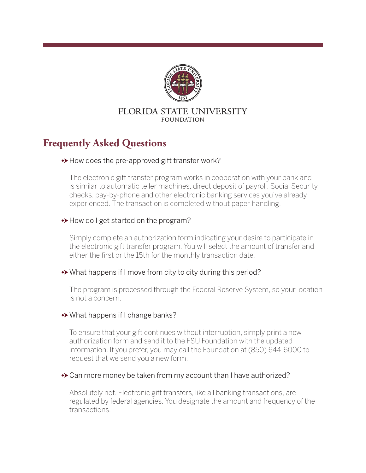

#### FLORIDA STATE UNIVERSITY **FOUNDATION**

# **Frequently Asked Questions**

## ◆ How does the pre-approved gift transfer work?

The electronic gift transfer program works in cooperation with your bank and is similar to automatic teller machines, direct deposit of payroll, Social Security checks, pay-by-phone and other electronic banking services you've already experienced. The transaction is completed without paper handling.

#### $\rightarrow$  How do I get started on the program?

Simply complete an authorization form indicating your desire to participate in the electronic gift transfer program. You will select the amount of transfer and either the first or the 15th for the monthly transaction date.

#### What happens if I move from city to city during this period?

The program is processed through the Federal Reserve System, so your location is not a concern.

#### What happens if I change banks?

To ensure that your gift continues without interruption, simply print a new authorization form and send it to the FSU Foundation with the updated information. If you prefer, you may call the Foundation at (850) 644-6000 to request that we send you a new form.

#### Can more money be taken from my account than I have authorized?

Absolutely not. Electronic gift transfers, like all banking transactions, are regulated by federal agencies. You designate the amount and frequency of the transactions.